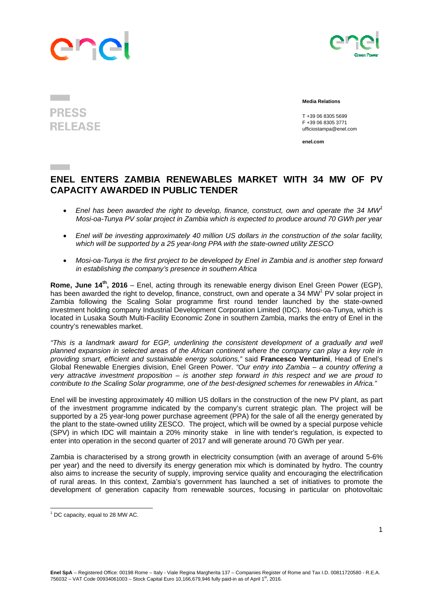## anp



## **PRESS RELEASE**

 **Media Relations** 

 T +39 06 8305 5699 F +39 06 8305 3771 ufficiostampa@enel.com

**enel.com**

## **ENEL ENTERS ZAMBIA RENEWABLES MARKET WITH 34 MW OF PV CAPACITY AWARDED IN PUBLIC TENDER**

- *Enel has been awarded the right to develop, finance, construct, own and operate the 34 MW<sup>1</sup> Mosi-oa-Tunya PV solar project in Zambia which is expected to produce around 70 GWh per year*
- *Enel will be investing approximately 40 million US dollars in the construction of the solar facility, which will be supported by a 25 year-long PPA with the state-owned utility ZESCO*
- *Mosi-oa-Tunya is the first project to be developed by Enel in Zambia and is another step forward in establishing the company's presence in southern Africa*

**Rome, June 14th, 2016** – Enel, acting through its renewable energy divison Enel Green Power (EGP), has been awarded the right to develop, finance, construct, own and operate a 34 MW<sup>1</sup> PV solar project in Zambia following the Scaling Solar programme first round tender launched by the state-owned investment holding company Industrial Development Corporation Limited (IDC). Mosi-oa-Tunya, which is located in Lusaka South Multi-Facility Economic Zone in southern Zambia, marks the entry of Enel in the country's renewables market.

*"This is a landmark award for EGP, underlining the consistent development of a gradually and well planned expansion in selected areas of the African continent where the company can play a key role in providing smart, efficient and sustainable energy solutions,"* said **Francesco Venturini**, Head of Enel's Global Renewable Energies division, Enel Green Power. *"Our entry into Zambia – a country offering a very attractive investment proposition – is another step forward in this respect and we are proud to contribute to the Scaling Solar programme, one of the best-designed schemes for renewables in Africa."* 

Enel will be investing approximately 40 million US dollars in the construction of the new PV plant, as part of the investment programme indicated by the company's current strategic plan. The project will be supported by a 25 year-long power purchase agreement (PPA) for the sale of all the energy generated by the plant to the state-owned utility ZESCO. The project, which will be owned by a special purpose vehicle (SPV) in which IDC will maintain a 20% minority stake in line with tender's regulation, is expected to enter into operation in the second quarter of 2017 and will generate around 70 GWh per year.

Zambia is characterised by a strong growth in electricity consumption (with an average of around 5-6% per year) and the need to diversify its energy generation mix which is dominated by hydro. The country also aims to increase the security of supply, improving service quality and encouraging the electrification of rural areas. In this context, Zambia's government has launched a set of initiatives to promote the development of generation capacity from renewable sources, focusing in particular on photovoltaic

  $<sup>1</sup>$  DC capacity, equal to 28 MW AC.</sup>